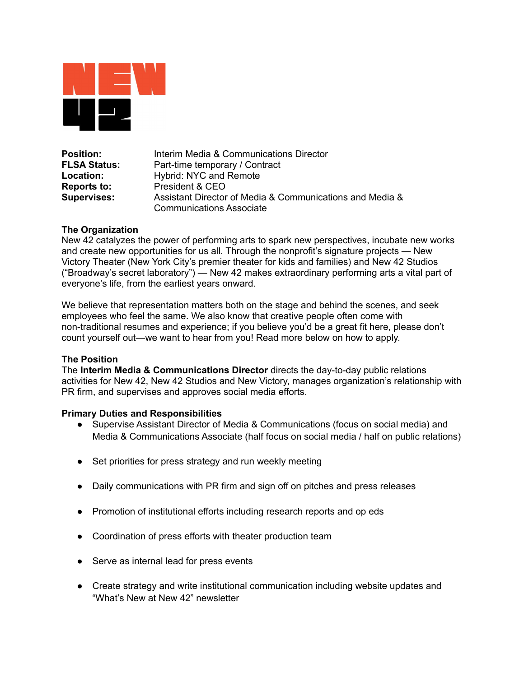

**Position:** Interim Media & Communications Director **FLSA Status:** Part-time temporary / Contract **Location:** Hybrid: NYC and Remote **Reports to:** President & CEO **Supervises:** Assistant Director of Media & Communications and Media & Communications Associate

# **The Organization**

New 42 catalyzes the power of performing arts to spark new perspectives, incubate new works and create new opportunities for us all. Through the nonprofit's signature projects — New Victory Theater (New York City's premier theater for kids and families) and New 42 Studios ("Broadway's secret laboratory") — New 42 makes extraordinary performing arts a vital part of everyone's life, from the earliest years onward.

We believe that representation matters both on the stage and behind the scenes, and seek employees who feel the same. We also know that creative people often come with non-traditional resumes and experience; if you believe you'd be a great fit here, please don't count yourself out—we want to hear from you! Read more below on how to apply.

# **The Position**

The **Interim Media & Communications Director** directs the day-to-day public relations activities for New 42, New 42 Studios and New Victory, manages organization's relationship with PR firm, and supervises and approves social media efforts.

# **Primary Duties and Responsibilities**

- Supervise Assistant Director of Media & Communications (focus on social media) and Media & Communications Associate (half focus on social media / half on public relations)
- Set priorities for press strategy and run weekly meeting
- Daily communications with PR firm and sign off on pitches and press releases
- Promotion of institutional efforts including research reports and op eds
- Coordination of press efforts with theater production team
- Serve as internal lead for press events
- Create strategy and write institutional communication including website updates and "What's New at New 42" newsletter